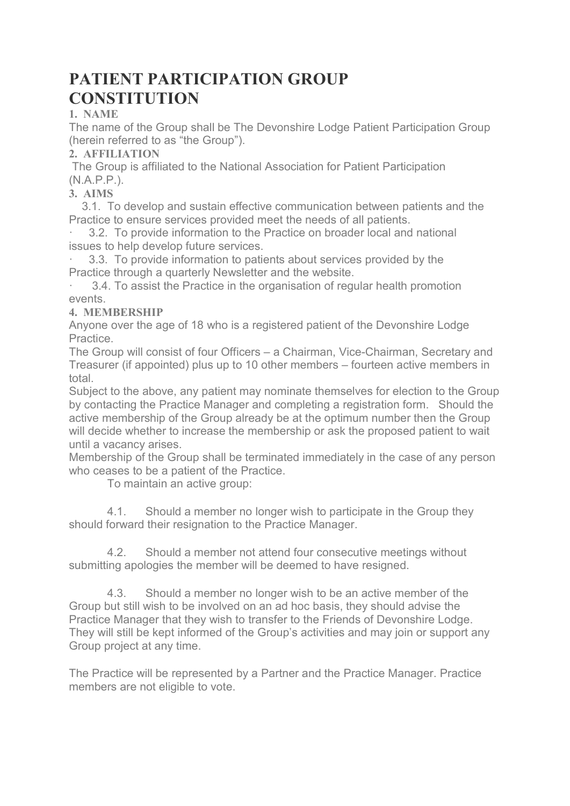# PATIENT PARTICIPATION GROUP **CONSTITUTION**

# 1. NAME

The name of the Group shall be The Devonshire Lodge Patient Participation Group (herein referred to as "the Group").

## 2. AFFILIATION

 The Group is affiliated to the National Association for Patient Participation (N.A.P.P.).

# 3. AIMS

 3.1. To develop and sustain effective communication between patients and the Practice to ensure services provided meet the needs of all patients.

3.2. To provide information to the Practice on broader local and national issues to help develop future services.

3.3. To provide information to patients about services provided by the Practice through a quarterly Newsletter and the website.

3.4. To assist the Practice in the organisation of regular health promotion events.

# 4. MEMBERSHIP

Anyone over the age of 18 who is a registered patient of the Devonshire Lodge Practice.

The Group will consist of four Officers – a Chairman, Vice-Chairman, Secretary and Treasurer (if appointed) plus up to 10 other members – fourteen active members in total.

Subject to the above, any patient may nominate themselves for election to the Group by contacting the Practice Manager and completing a registration form. Should the active membership of the Group already be at the optimum number then the Group will decide whether to increase the membership or ask the proposed patient to wait until a vacancy arises.

Membership of the Group shall be terminated immediately in the case of any person who ceases to be a patient of the Practice.

To maintain an active group:

 4.1. Should a member no longer wish to participate in the Group they should forward their resignation to the Practice Manager.

 4.2. Should a member not attend four consecutive meetings without submitting apologies the member will be deemed to have resigned.

 4.3. Should a member no longer wish to be an active member of the Group but still wish to be involved on an ad hoc basis, they should advise the Practice Manager that they wish to transfer to the Friends of Devonshire Lodge. They will still be kept informed of the Group's activities and may join or support any Group project at any time.

The Practice will be represented by a Partner and the Practice Manager. Practice members are not eligible to vote.